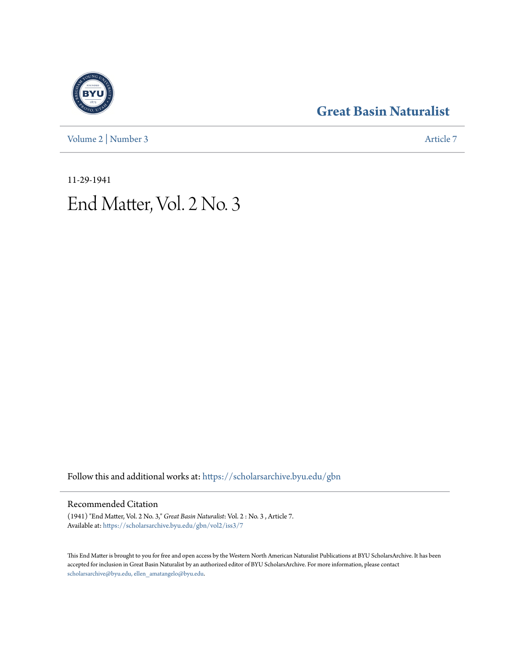[Volume 2](https://scholarsarchive.byu.edu/gbn/vol2?utm_source=scholarsarchive.byu.edu%2Fgbn%2Fvol2%2Fiss3%2F7&utm_medium=PDF&utm_campaign=PDFCoverPages) | [Number 3](https://scholarsarchive.byu.edu/gbn/vol2/iss3?utm_source=scholarsarchive.byu.edu%2Fgbn%2Fvol2%2Fiss3%2F7&utm_medium=PDF&utm_campaign=PDFCoverPages) [Article 7](https://scholarsarchive.byu.edu/gbn/vol2/iss3/7?utm_source=scholarsarchive.byu.edu%2Fgbn%2Fvol2%2Fiss3%2F7&utm_medium=PDF&utm_campaign=PDFCoverPages)

### **[Great Basin Naturalist](https://scholarsarchive.byu.edu/gbn?utm_source=scholarsarchive.byu.edu%2Fgbn%2Fvol2%2Fiss3%2F7&utm_medium=PDF&utm_campaign=PDFCoverPages)**

11-29-1941

## End Matter, Vol. 2 No. 3

Follow this and additional works at: [https://scholarsarchive.byu.edu/gbn](https://scholarsarchive.byu.edu/gbn?utm_source=scholarsarchive.byu.edu%2Fgbn%2Fvol2%2Fiss3%2F7&utm_medium=PDF&utm_campaign=PDFCoverPages)

### Recommended Citation

(1941) "End Matter, Vol. 2 No. 3," *Great Basin Naturalist*: Vol. 2 : No. 3 , Article 7. Available at: [https://scholarsarchive.byu.edu/gbn/vol2/iss3/7](https://scholarsarchive.byu.edu/gbn/vol2/iss3/7?utm_source=scholarsarchive.byu.edu%2Fgbn%2Fvol2%2Fiss3%2F7&utm_medium=PDF&utm_campaign=PDFCoverPages)

This End Matter is brought to you for free and open access by the Western North American Naturalist Publications at BYU ScholarsArchive. It has been accepted for inclusion in Great Basin Naturalist by an authorized editor of BYU ScholarsArchive. For more information, please contact [scholarsarchive@byu.edu, ellen\\_amatangelo@byu.edu.](mailto:scholarsarchive@byu.edu,%20ellen_amatangelo@byu.edu)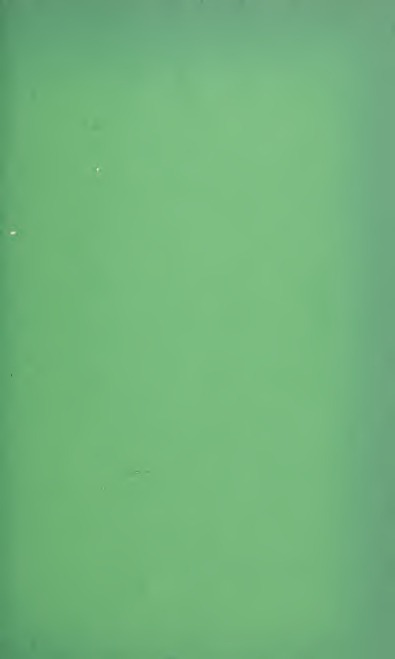